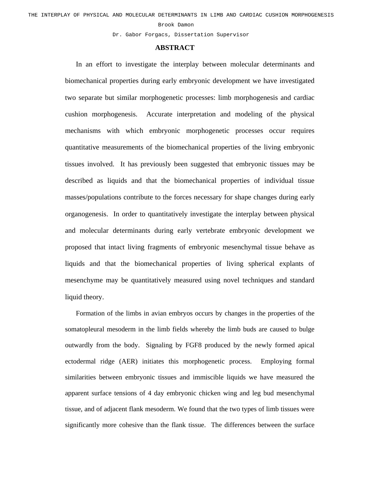## Brook Damon

Dr. Gabor Forgacs, Dissertation Supervisor

## **ABSTRACT**

In an effort to investigate the interplay between molecular determinants and biomechanical properties during early embryonic development we have investigated two separate but similar morphogenetic processes: limb morphogenesis and cardiac cushion morphogenesis. Accurate interpretation and modeling of the physical mechanisms with which embryonic morphogenetic processes occur requires quantitative measurements of the biomechanical properties of the living embryonic tissues involved. It has previously been suggested that embryonic tissues may be described as liquids and that the biomechanical properties of individual tissue masses/populations contribute to the forces necessary for shape changes during early organogenesis. In order to quantitatively investigate the interplay between physical and molecular determinants during early vertebrate embryonic development we proposed that intact living fragments of embryonic mesenchymal tissue behave as liquids and that the biomechanical properties of living spherical explants of mesenchyme may be quantitatively measured using novel techniques and standard liquid theory.

Formation of the limbs in avian embryos occurs by changes in the properties of the somatopleural mesoderm in the limb fields whereby the limb buds are caused to bulge outwardly from the body. Signaling by FGF8 produced by the newly formed apical ectodermal ridge (AER) initiates this morphogenetic process. Employing formal similarities between embryonic tissues and immiscible liquids we have measured the apparent surface tensions of 4 day embryonic chicken wing and leg bud mesenchymal tissue, and of adjacent flank mesoderm. We found that the two types of limb tissues were significantly more cohesive than the flank tissue. The differences between the surface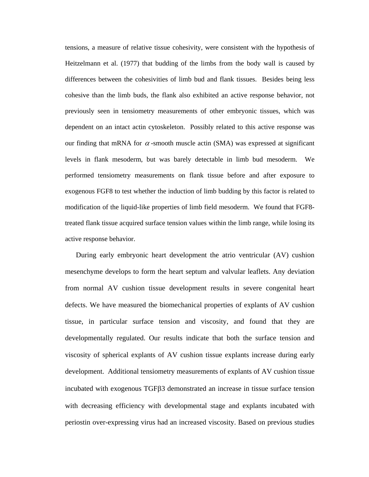tensions, a measure of relative tissue cohesivity, were consistent with the hypothesis of Heitzelmann et al. (1977) that budding of the limbs from the body wall is caused by differences between the cohesivities of limb bud and flank tissues. Besides being less cohesive than the limb buds, the flank also exhibited an active response behavior, not previously seen in tensiometry measurements of other embryonic tissues, which was dependent on an intact actin cytoskeleton. Possibly related to this active response was our finding that mRNA for  $\alpha$ -smooth muscle actin (SMA) was expressed at significant levels in flank mesoderm, but was barely detectable in limb bud mesoderm. We performed tensiometry measurements on flank tissue before and after exposure to exogenous FGF8 to test whether the induction of limb budding by this factor is related to modification of the liquid-like properties of limb field mesoderm. We found that FGF8 treated flank tissue acquired surface tension values within the limb range, while losing its active response behavior.

During early embryonic heart development the atrio ventricular (AV) cushion mesenchyme develops to form the heart septum and valvular leaflets. Any deviation from normal AV cushion tissue development results in severe congenital heart defects. We have measured the biomechanical properties of explants of AV cushion tissue, in particular surface tension and viscosity, and found that they are developmentally regulated. Our results indicate that both the surface tension and viscosity of spherical explants of AV cushion tissue explants increase during early development. Additional tensiometry measurements of explants of AV cushion tissue incubated with exogenous TGFβ3 demonstrated an increase in tissue surface tension with decreasing efficiency with developmental stage and explants incubated with periostin over-expressing virus had an increased viscosity. Based on previous studies